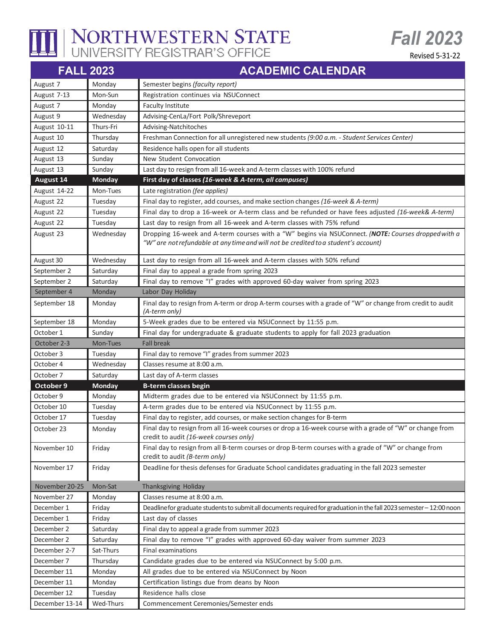

## NORTHWESTERN STATE

Revised 5-31-22

*Fall 2023*

|                | <b>FALL 2023</b> | <b>ACADEMIC CALENDAR</b>                                                                                                                                                                   |
|----------------|------------------|--------------------------------------------------------------------------------------------------------------------------------------------------------------------------------------------|
| August 7       | Monday           | Semester begins (faculty report)                                                                                                                                                           |
| August 7-13    | Mon-Sun          | Registration continues via NSUConnect                                                                                                                                                      |
| August 7       | Monday           | <b>Faculty Institute</b>                                                                                                                                                                   |
| August 9       | Wednesday        | Advising-CenLa/Fort Polk/Shreveport                                                                                                                                                        |
| August 10-11   | Thurs-Fri        | Advising-Natchitoches                                                                                                                                                                      |
| August 10      | Thursday         | Freshman Connection for all unregistered new students (9:00 a.m. - Student Services Center)                                                                                                |
| August 12      | Saturday         | Residence halls open for all students                                                                                                                                                      |
| August 13      | Sunday           | New Student Convocation                                                                                                                                                                    |
| August 13      | Sunday           | Last day to resign from all 16-week and A-term classes with 100% refund                                                                                                                    |
| August 14      | <b>Monday</b>    | First day of classes (16-week & A-term, all campuses)                                                                                                                                      |
| August 14-22   | Mon-Tues         | Late registration (fee applies)                                                                                                                                                            |
| August 22      | Tuesday          | Final day to register, add courses, and make section changes (16-week & A-term)                                                                                                            |
| August 22      | Tuesday          | Final day to drop a 16-week or A-term class and be refunded or have fees adjusted (16-week& A-term)                                                                                        |
| August 22      | Tuesday          | Last day to resign from all 16-week and A-term classes with 75% refund                                                                                                                     |
| August 23      | Wednesday        | Dropping 16-week and A-term courses with a "W" begins via NSUConnect. (NOTE: Courses dropped with a<br>"W" are not refundable at any time and will not be credited to a student's account) |
| August 30      | Wednesday        | Last day to resign from all 16-week and A-term classes with 50% refund                                                                                                                     |
| September 2    | Saturday         | Final day to appeal a grade from spring 2023                                                                                                                                               |
| September 2    | Saturday         | Final day to remove "I" grades with approved 60-day waiver from spring 2023                                                                                                                |
| September 4    | Monday           | Labor Day Holiday                                                                                                                                                                          |
| September 18   | Monday           | Final day to resign from A-term or drop A-term courses with a grade of "W" or change from credit to audit<br>(A-term only)                                                                 |
| September 18   | Monday           | 5-Week grades due to be entered via NSUConnect by 11:55 p.m.                                                                                                                               |
| October 1      | Sunday           | Final day for undergraduate & graduate students to apply for fall 2023 graduation                                                                                                          |
|                |                  |                                                                                                                                                                                            |
| October 2-3    | Mon-Tues         | <b>Fall break</b>                                                                                                                                                                          |
| October 3      | Tuesday          | Final day to remove "I" grades from summer 2023                                                                                                                                            |
| October 4      | Wednesday        | Classes resume at 8:00 a.m.                                                                                                                                                                |
| October 7      | Saturday         | Last day of A-term classes                                                                                                                                                                 |
| October 9      | <b>Monday</b>    | <b>B-term classes begin</b>                                                                                                                                                                |
| October 9      | Monday           | Midterm grades due to be entered via NSUConnect by 11:55 p.m.                                                                                                                              |
| October 10     | Tuesday          | A-term grades due to be entered via NSUConnect by 11:55 p.m.                                                                                                                               |
| October 17     | Tuesday          | Final day to register, add courses, or make section changes for B-term                                                                                                                     |
| October 23     | Monday           | Final day to resign from all 16-week courses or drop a 16-week course with a grade of "W" or change from<br>credit to audit (16-week courses only)                                         |
| November 10    | Friday           | Final day to resign from all B-term courses or drop B-term courses with a grade of "W" or change from<br>credit to audit (B-term only)                                                     |
| November 17    | Friday           | Deadline for thesis defenses for Graduate School candidates graduating in the fall 2023 semester                                                                                           |
| November 20-25 | Mon-Sat          | Thanksgiving Holiday                                                                                                                                                                       |
| November 27    | Monday           | Classes resume at 8:00 a.m.                                                                                                                                                                |
| December 1     | Friday           | Deadline for graduate students to submit all documents required for graduation in the fall 2023 semester - 12:00 noon                                                                      |
| December 1     | Friday           | Last day of classes                                                                                                                                                                        |
| December 2     | Saturday         | Final day to appeal a grade from summer 2023                                                                                                                                               |
| December 2     | Saturday         | Final day to remove "I" grades with approved 60-day waiver from summer 2023                                                                                                                |
| December 2-7   | Sat-Thurs        | Final examinations                                                                                                                                                                         |
| December 7     | Thursday         | Candidate grades due to be entered via NSUConnect by 5:00 p.m.                                                                                                                             |
| December 11    | Monday           | All grades due to be entered via NSUConnect by Noon                                                                                                                                        |
| December 11    | Monday           | Certification listings due from deans by Noon                                                                                                                                              |
| December 12    | Tuesday          | Residence halls close                                                                                                                                                                      |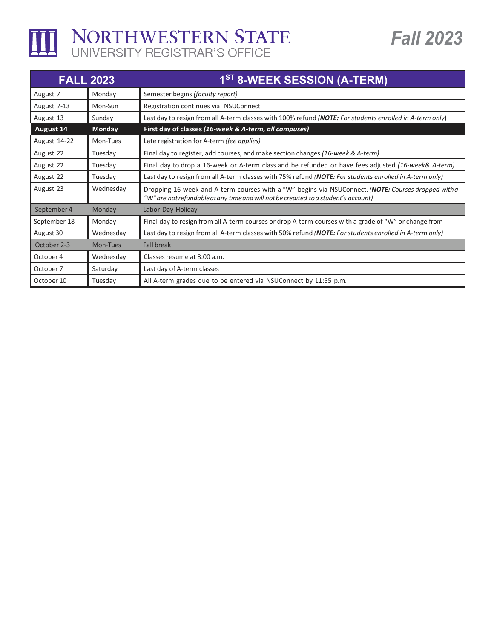

|                  | <b>FALL 2023</b> | 1 <sup>ST</sup> 8-WEEK SESSION (A-TERM)                                                                                                                                                   |
|------------------|------------------|-------------------------------------------------------------------------------------------------------------------------------------------------------------------------------------------|
| August 7         | Monday           | Semester begins (faculty report)                                                                                                                                                          |
| August 7-13      | Mon-Sun          | Registration continues via NSUConnect                                                                                                                                                     |
| August 13        | Sunday           | Last day to resign from all A-term classes with 100% refund (NOTE: For students enrolled in A-term only)                                                                                  |
| <b>August 14</b> | <b>Monday</b>    | First day of classes (16-week & A-term, all campuses)                                                                                                                                     |
| August 14-22     | Mon-Tues         | Late registration for A-term (fee applies)                                                                                                                                                |
| August 22        | Tuesday          | Final day to register, add courses, and make section changes (16-week & A-term)                                                                                                           |
| August 22        | Tuesday          | Final day to drop a 16-week or A-term class and be refunded or have fees adjusted (16-week& A-term)                                                                                       |
| August 22        | Tuesday          | Last day to resign from all A-term classes with 75% refund (NOTE: For students enrolled in A-term only)                                                                                   |
| August 23        | Wednesday        | Dropping 16-week and A-term courses with a "W" begins via NSUConnect. (NOTE: Courses dropped witha<br>"W" are not refundable at any time and will not be credited to a student's account) |
| September 4      | Mondav           | Labor Day Holiday                                                                                                                                                                         |
| September 18     | Monday           | Final day to resign from all A-term courses or drop A-term courses with a grade of "W" or change from                                                                                     |
| August 30        | Wednesday        | Last day to resign from all A-term classes with 50% refund (NOTE: For students enrolled in A-term only)                                                                                   |
| October 2-3      | Mon-Tues         | <b>Fall break</b>                                                                                                                                                                         |
| October 4        | Wednesday        | Classes resume at 8:00 a.m.                                                                                                                                                               |
| October 7        | Saturday         | Last day of A-term classes                                                                                                                                                                |
| October 10       | Tuesday          | All A-term grades due to be entered via NSUConnect by 11:55 p.m.                                                                                                                          |

**Fall 2023**